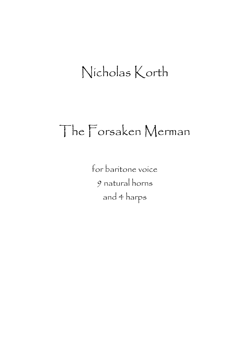## Nicholas Korth

## The Forsaken Merman

for baritone voice 9 natural horns and 4 harps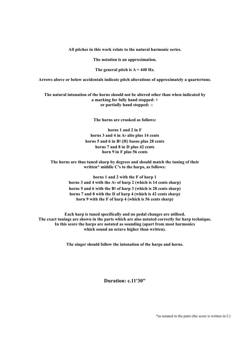**All pitches in this work relate to the natural harmonic series.**

**The notation is an approximation.**

The general pitch is  $A = 440$  Hz.

**Arrows above or below accidentals indicate pitch alterations of approximately a quartertone.**

 $\mathbb{B}$ **or** partially hand stopped:  $\oplus$ **The natural intonation of the horns should not be altered other than when indicated by a marking for fully hand stopped: +**

**The horns are crooked as follows:**

**horns 1 and 2 in F horns 3 and 4 in A**b **alto plus 14 cents horns 5 and 6 in B**§ **(H) basso plus 28 cents horns 7 and 8 in D plus 42 cents horn 9 in F plus 56 cents**

**The horns are thus tuned sharp by degrees and should match the tuning of their written\* middle C's to the harps, as follows:**

> **horns 1 and 2 with the F of harp 1 horns 3 and 4 with the A**b **of harp 2 (which is 14 cents sharp) horns 5 and 6 with the B**§ **of harp 3 (which is 28 cents sharp) horns 7 and 8 with the D of harp 4 (which is 42 cents sharp) horn 9with the F of harp 4 (which is 56 cents sharp)**

**Each harp is tuned specifically and no pedalchanges are utilised. The exact tunings are shown in the parts which are also notated correctly for harp technique. In this score the harps are notated as sounding (apart from most harmonics which sound an octave higher than written).**

**The singer should follow the intonation of the harps and horns.**

**Duration: c.11'30"**

\*as notated in the parts (the score is written in C)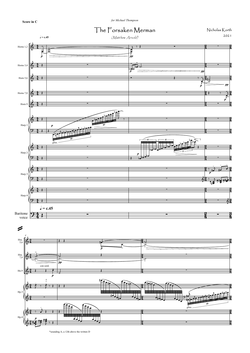*for Michael Thompson*



\*sounding A, a 12th above the written D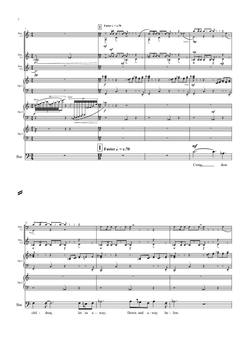



 $\sqrt{2}$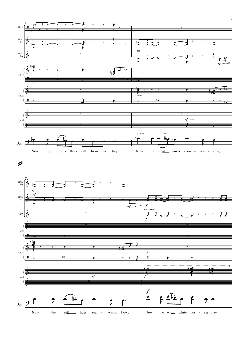

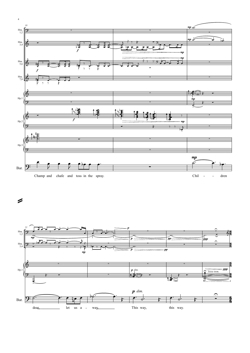

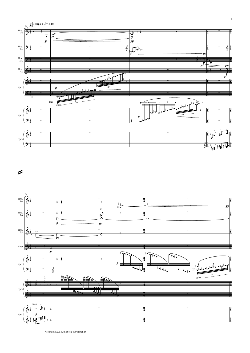



\*sounding A, a 12th above the written D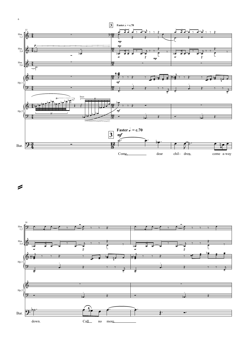

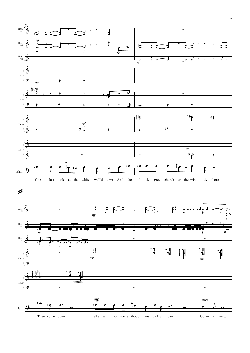

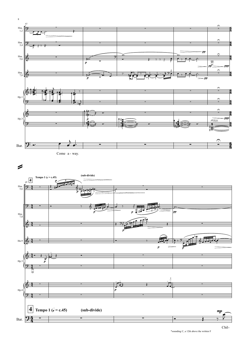

Come a - way.





\*sounding C, a 12th above the written F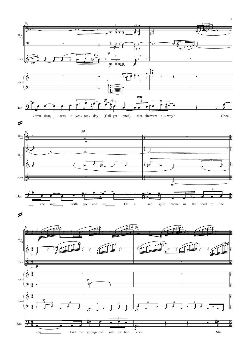





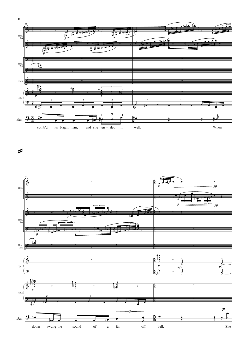

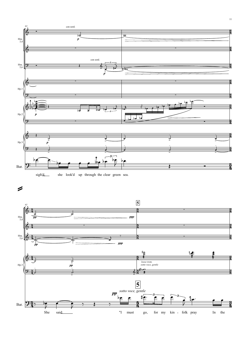



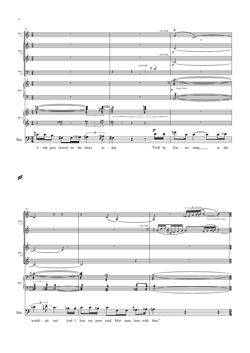



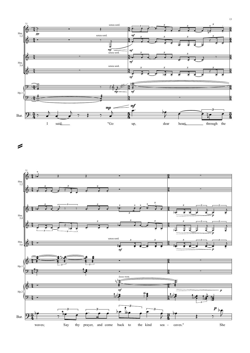

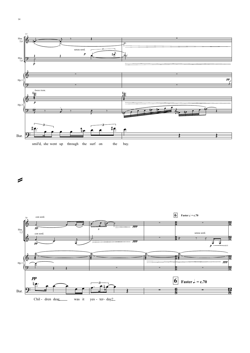

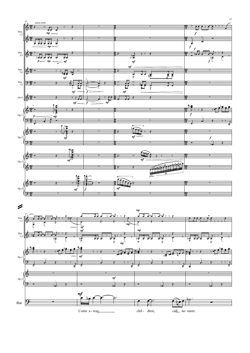

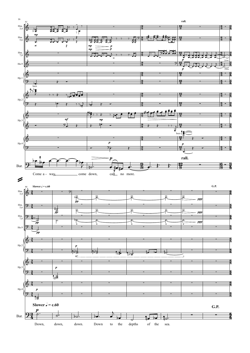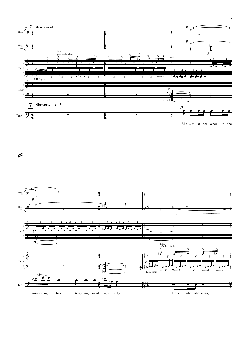

She sits at her wheel in the

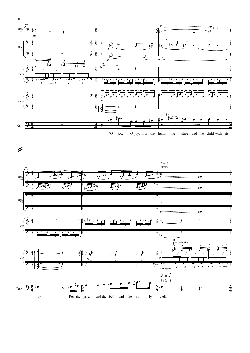



 $\begin{array}{c}\n\mathbf{J} = \mathbf{J} \\
2+2+3\n\end{array}$  $\overline{H}$  $\rightarrow$  $\overline{1}$ मुर्ग بمتلم Ţ.  $\frac{\text{Hns}}{5.6}$  $pp$ 舞  $\overrightarrow{r}$ **UTA** Ź 馬  $\boldsymbol{pp}$  $\frac{\text{Hns}}{7,8}$ Ź Ì.  $\boldsymbol{p}$ 生  $Hp.2$ ▰  $R.H.$  près de la table  $62 +$  $Hp.3$  $m f$  $\boldsymbol{p}$ Ш TT 而 Ш  $\Box$ L.H. legato  $\hbox{\vphantom{1}d}^{\hbox{\scriptsize{b}}}=\hbox{\vphantom{1}d}^{\hbox{\scriptsize{b}}}$  $2+2+3$ Bar.  $\frac{1}{2}$ م!′ è For the priest, and the bell, and the ho  $1y$ well. toy.  $\sim$ 

 $18$ 

 $\boldsymbol{z}$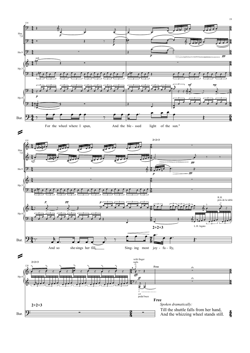

19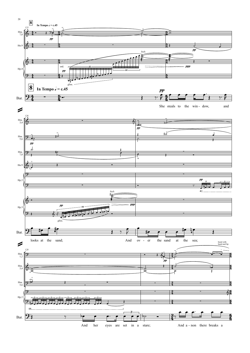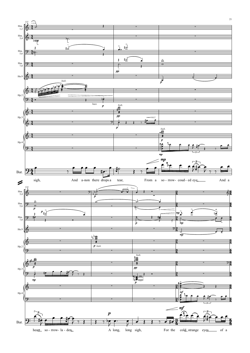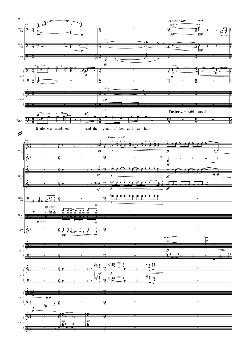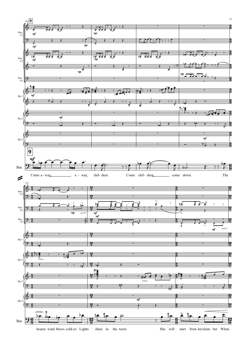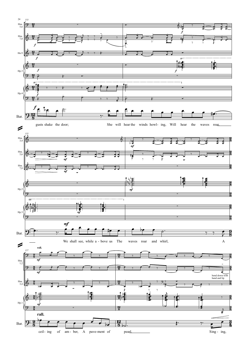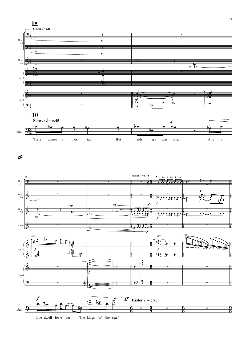